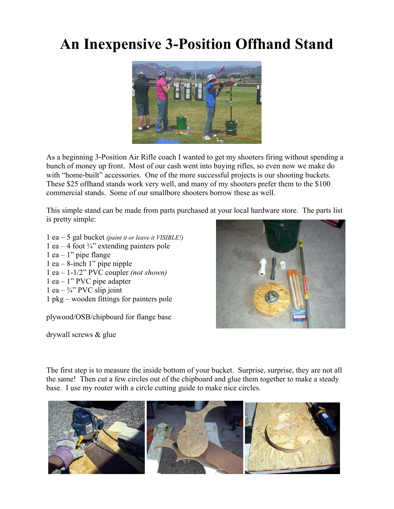## **An Inexpensive 3-Position Offhand Stand**



As a beginning 3-Position Air Rifle coach I wanted to get my shooters firing without spending a bunch of money up front. Most of our cash went into buying rifles, so even now we make do with "home-built" accessories. One of the more successful projects is our shooting buckets. These \$25 offhand stands work very well, and many of my shooters prefer them to the \$100 commercial stands. Some of our smallbore shooters borrow these as well.

This simple stand can be made from parts purchased at your local hardware store. The parts list is pretty simple:

- 1 ea 5 gal bucket *(paint it or leave it VISIBLE!)*
- 1 ea 4 foot  $\frac{3}{4}$ " extending painters pole
- $1$  ea  $1$ " pipe flange
- 1 ea 8-inch 1" pipe nipple
- 1 ea 1-1/2" PVC coupler *(not shown)*
- 1 ea 1" PVC pipe adapter
- 1 ea  $\frac{3}{4}$ " PVC slip joint
- 1 pkg wooden fittings for painters pole

plywood/OSB/chipboard for flange base

drywall screws & glue



The first step is to measure the inside bottom of your bucket. Surprise, surprise, they are not all the same! Then cut a few circles out of the chipboard and glue them together to make a steady base. I use my router with a circle cutting guide to make nice circles.

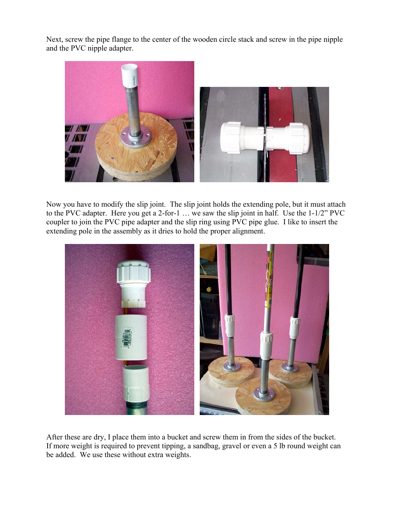Next, screw the pipe flange to the center of the wooden circle stack and screw in the pipe nipple and the PVC nipple adapter.



Now you have to modify the slip joint. The slip joint holds the extending pole, but it must attach to the PVC adapter. Here you get a 2-for-1 … we saw the slip joint in half. Use the 1-1/2" PVC coupler to join the PVC pipe adapter and the slip ring using PVC pipe glue. I like to insert the extending pole in the assembly as it dries to hold the proper alignment.



After these are dry, I place them into a bucket and screw them in from the sides of the bucket. If more weight is required to prevent tipping, a sandbag, gravel or even a 5 lb round weight can be added. We use these without extra weights.